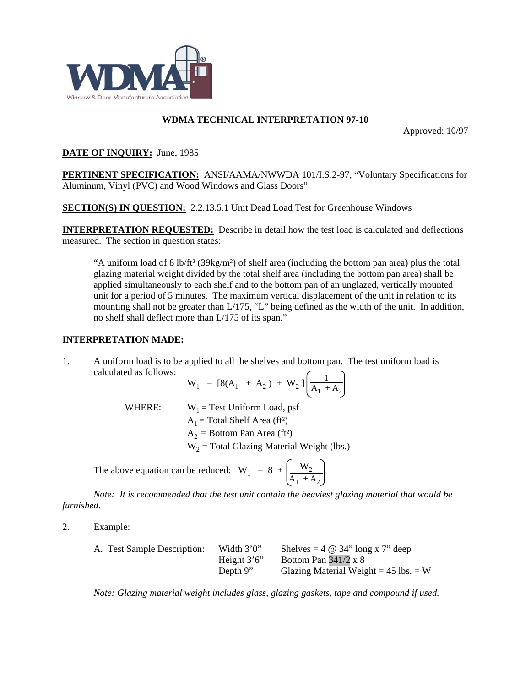

## **WDMA TECHNICAL INTERPRETATION 97-10**

Approved: 10/97

## **DATE OF INQUIRY:** June, 1985

**PERTINENT SPECIFICATION:** ANSI/AAMA/NWWDA 101/I.S.2-97, "Voluntary Specifications for Aluminum, Vinyl (PVC) and Wood Windows and Glass Doors"

**SECTION(S) IN QUESTION:** 2.2.13.5.1 Unit Dead Load Test for Greenhouse Windows

**INTERPRETATION REQUESTED:** Describe in detail how the test load is calculated and deflections measured. The section in question states:

"A uniform load of 8 lb/ft² (39kg/m²) of shelf area (including the bottom pan area) plus the total glazing material weight divided by the total shelf area (including the bottom pan area) shall be applied simultaneously to each shelf and to the bottom pan of an unglazed, vertically mounted unit for a period of 5 minutes. The maximum vertical displacement of the unit in relation to its mounting shall not be greater than L/175, "L" being defined as the width of the unit. In addition, no shelf shall deflect more than L/175 of its span."

## **INTERPRETATION MADE:**

1. A uniform load is to be applied to all the shelves and bottom pan. The test uniform load is calculated as follows:

$$
W_1 = [8(A_1 + A_2) + W_2] \left[ \frac{1}{A_1 + A_2} \right]
$$

WHERE:  $W_1$  = Test Uniform Load, psf

 $A_1$  = Total Shelf Area (ft<sup>2</sup>)

 $A_2$  = Bottom Pan Area (ft<sup>2</sup>)

 $W<sub>2</sub>$  = Total Glazing Material Weight (lbs.)

The above equation can be reduced:  $W_1 = 8 + \frac{W_2}{1 + W_1}$  $A_1 + A_2$ 

*Note: It is recommended that the test unit contain the heaviest glazing material that would be furnished.*

2. Example:

| A. Test Sample Description: | Width $3'0''$ | Shelves = $4 \otimes 34$ " long x 7" deep |
|-----------------------------|---------------|-------------------------------------------|
|                             | Height $3'6'$ | Bottom Pan $341/2 \times 8$               |
|                             | Depth $9"$    | Glazing Material Weight = $45$ lbs. = W   |

*Note: Glazing material weight includes glass, glazing gaskets, tape and compound if used.*